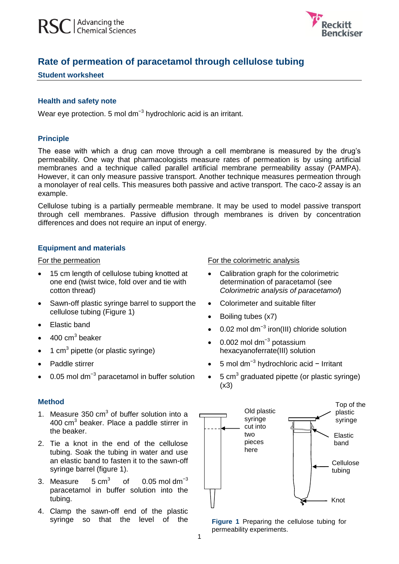

# **Rate of permeation of paracetamol through cellulose tubing**

### **Student worksheet**

## **Health and safety note**

Wear eye protection. 5 mol dm<sup>-3</sup> hydrochloric acid is an irritant.

### **Principle**

The ease with which a drug can move through a cell membrane is measured by the drug's permeability. One way that pharmacologists measure rates of permeation is by using artificial membranes and a technique called parallel artificial membrane permeability assay (PAMPA). However, it can only measure passive transport. Another technique measures permeation through a monolayer of real cells. This measures both passive and active transport. The caco-2 assay is an example.

Cellulose tubing is a partially permeable membrane. It may be used to model passive transport through cell membranes. Passive diffusion through membranes is driven by concentration differences and does not require an input of energy.

# **Equipment and materials**

#### For the permeation

- 15 cm length of cellulose tubing knotted at one end (twist twice, fold over and tie with cotton thread)
- Sawn-off plastic syringe barrel to support the cellulose tubing (Figure 1)
- Elastic band
- $\bullet$  400 cm<sup>3</sup> beaker
- $\bullet$  1 cm<sup>3</sup> pipette (or plastic syringe)
- Paddle stirrer
- 0.05 mol dm<sup>-3</sup> paracetamol in buffer solution

# **Method**

- 1. Measure  $350 \text{ cm}^3$  of buffer solution into a 400 cm $3$  beaker. Place a paddle stirrer in the beaker.
- 2. Tie a knot in the end of the cellulose tubing. Soak the tubing in water and use an elastic band to fasten it to the sawn-off syringe barrel (figure 1).
- 3. Measure  $5 \text{ cm}^3$ of  $0.05$  mol dm<sup>-3</sup> paracetamol in buffer solution into the tubing.
- 4. Clamp the sawn-off end of the plastic syringe so that the level of the

### For the colorimetric analysis

- Calibration graph for the colorimetric determination of paracetamol (see *Colorimetric analysis of paracetamol*)
- Colorimeter and suitable filter
- Boiling tubes (x7)
- 0.02 mol dm<sup>-3</sup> iron(III) chloride solution
- 0.002 mol dm<sup>-3</sup> potassium hexacyanoferrate(III) solution
- 5 mol dm−3 hydrochloric acid − Irritant
- $\bullet$  5 cm<sup>3</sup> graduated pipette (or plastic syringe)  $(x3)$



**Figure 1** Preparing the cellulose tubing for permeability experiments.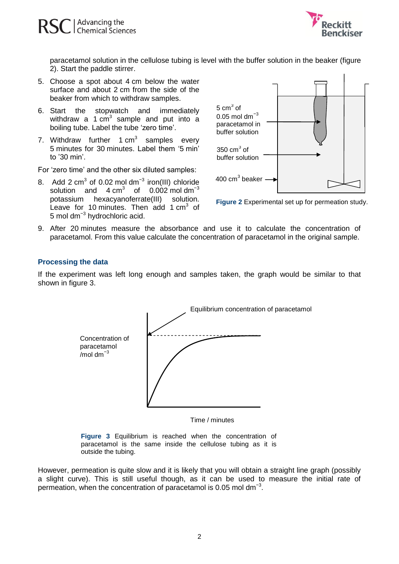

paracetamol solution in the cellulose tubing is level with the buffer solution in the beaker (figure 2). Start the paddle stirrer.

- 5. Choose a spot about 4 cm below the water surface and about 2 cm from the side of the beaker from which to withdraw samples.
- 6. Start the stopwatch and immediately withdraw a 1  $cm<sup>3</sup>$  sample and put into a boiling tube. Label the tube 'zero time'.
- 7. Withdraw further 1  $cm<sup>3</sup>$  samples every 5 minutes for 30 minutes. Label them '5 min' to '30 min'.

For 'zero time' and the other six diluted samples:

8. Add 2 cm<sup>3</sup> of 0.02 mol dm<sup>-3</sup> iron(III) chloride solution and  $4 \text{ cm}^3$ of  $0.002$  mol dm<sup>-3</sup> potassium hexacyanoferrate(III) solution. Leave for 10 minutes. Then add 1  $cm<sup>3</sup>$  of 5 mol dm<sup>-3</sup> hydrochloric acid.



**Figure 2** Experimental set up for permeation study.

9. After 20 minutes measure the absorbance and use it to calculate the concentration of paracetamol. From this value calculate the concentration of paracetamol in the original sample.

### **Processing the data**

If the experiment was left long enough and samples taken, the graph would be similar to that shown in figure 3.



Time / minutes

**Figure 3** Equilibrium is reached when the concentration of paracetamol is the same inside the cellulose tubing as it is outside the tubing.

However, permeation is quite slow and it is likely that you will obtain a straight line graph (possibly a slight curve). This is still useful though, as it can be used to measure the initial rate of permeation, when the concentration of paracetamol is 0.05 mol dm<sup>-3</sup>.